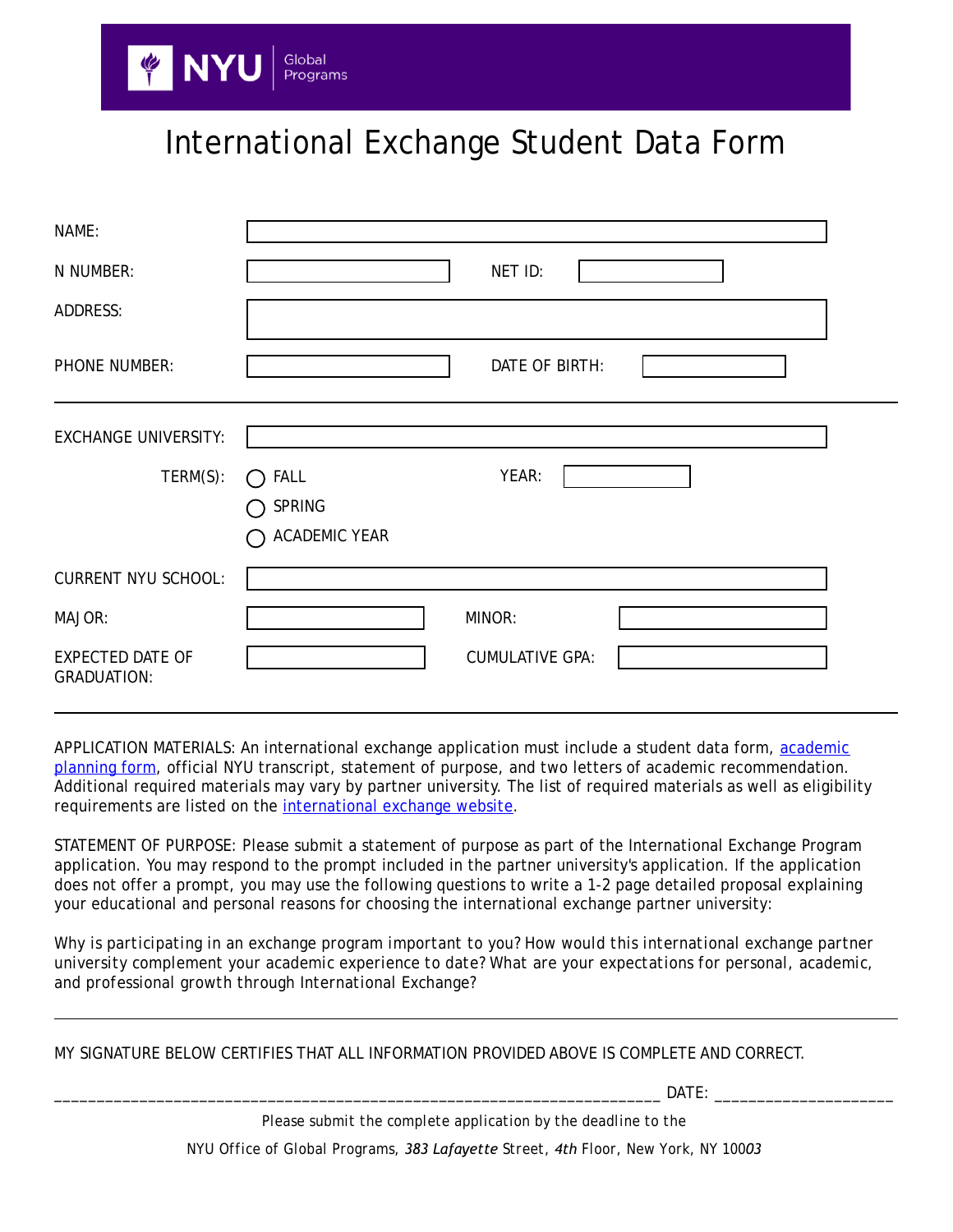## International Exchange Student Data Form

| NAME:                                         |                             |  |
|-----------------------------------------------|-----------------------------|--|
| N NUMBER:                                     | NET ID:                     |  |
| ADDRESS:                                      |                             |  |
| PHONE NUMBER:                                 | DATE OF BIRTH:              |  |
| <b>EXCHANGE UNIVERSITY:</b>                   |                             |  |
| TERM(S):                                      | YEAR:<br><b>FALL</b><br>( ) |  |
|                                               | SPRING                      |  |
|                                               | <b>ACADEMIC YEAR</b>        |  |
| <b>CURRENT NYU SCHOOL:</b>                    |                             |  |
| MAJOR:                                        | MINOR:                      |  |
| <b>EXPECTED DATE OF</b><br><b>GRADUATION:</b> | <b>CUMULATIVE GPA:</b>      |  |

APPLICATION MATERIALS: An international exchange application must include a student data form, academic [planning form](http://www.nyu.edu/content/dam/nyu/globalPrgms/documents/InternationalExchange/IEPStudyAbroadCourseAuthorization.pdf), official NYU transcript, statement of purpose, and two letters of academic recommendation. Additional required materials may vary by partner university. The list of required materials as well as eligibility requirements are listed on the [international exchange website.](http://www.nyu.edu/global/global-academic-centers/Exchange/internationalexchange/partneruniversities.html)

STATEMENT OF PURPOSE: Please submit a statement of purpose as part of the International Exchange Program application. You may respond to the prompt included in the partner university's application. If the application does not offer a prompt, you may use the following questions to write a 1-2 page detailed proposal explaining your educational and personal reasons for choosing the international exchange partner university:

*Why is participating in an exchange program important to you? How would this international exchange partner university complement your academic experience to date? What are your expectations for personal, academic, and professional growth through International Exchange?*

MY SIGNATURE BELOW CERTIFIES THAT ALL INFORMATION PROVIDED ABOVE IS COMPLETE AND CORRECT.

\_\_\_\_\_\_\_\_\_\_\_\_\_\_\_\_\_\_\_\_\_\_\_\_\_\_\_\_\_\_\_\_\_\_\_\_\_\_\_\_\_\_\_\_\_\_\_\_\_\_\_\_\_\_\_\_\_\_\_\_\_\_\_\_\_\_\_\_\_\_\_ DATE: \_\_\_\_\_\_\_\_\_\_\_\_\_\_\_\_\_\_\_\_\_

*Please submit the complete application by the deadline to the NYU Office of Global Programs, 383 Lafayette Street, 4th Floor, New York, NY 10003*